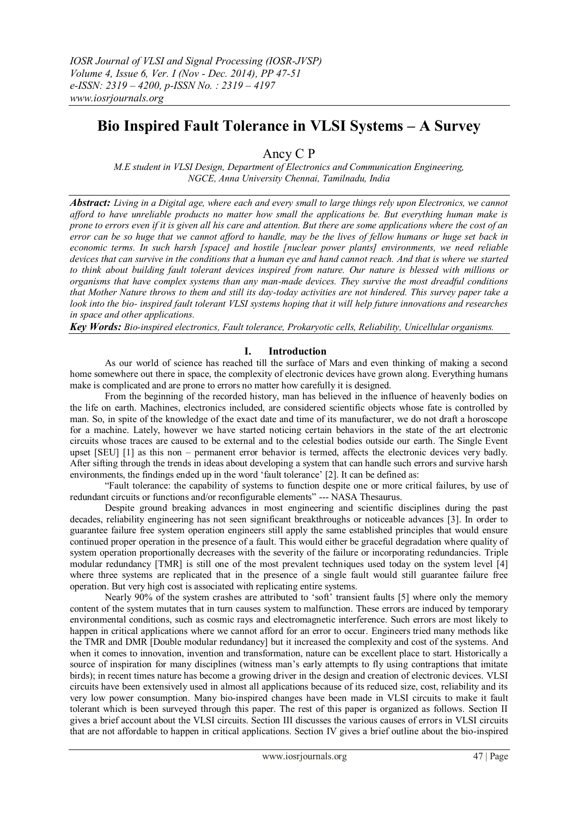# **Bio Inspired Fault Tolerance in VLSI Systems – A Survey**

Ancy C P

*M.E student in VLSI Design, Department of Electronics and Communication Engineering, NGCE, Anna University Chennai, Tamilnadu, India*

*Abstract: Living in a Digital age, where each and every small to large things rely upon Electronics, we cannot afford to have unreliable products no matter how small the applications be. But everything human make is prone to errors even if it is given all his care and attention. But there are some applications where the cost of an error can be so huge that we cannot afford to handle, may be the lives of fellow humans or huge set back in economic terms. In such harsh [space] and hostile [nuclear power plants] environments, we need reliable devices that can survive in the conditions that a human eye and hand cannot reach. And that is where we started to think about building fault tolerant devices inspired from nature. Our nature is blessed with millions or organisms that have complex systems than any man-made devices. They survive the most dreadful conditions that Mother Nature throws to them and still its day-today activities are not hindered. This survey paper take a look into the bio- inspired fault tolerant VLSI systems hoping that it will help future innovations and researches in space and other applications.* 

*Key Words: Bio-inspired electronics, Fault tolerance, Prokaryotic cells, Reliability, Unicellular organisms.*

## **I. Introduction**

As our world of science has reached till the surface of Mars and even thinking of making a second home somewhere out there in space, the complexity of electronic devices have grown along. Everything humans make is complicated and are prone to errors no matter how carefully it is designed.

From the beginning of the recorded history, man has believed in the influence of heavenly bodies on the life on earth. Machines, electronics included, are considered scientific objects whose fate is controlled by man. So, in spite of the knowledge of the exact date and time of its manufacturer, we do not draft a horoscope for a machine. Lately, however we have started noticing certain behaviors in the state of the art electronic circuits whose traces are caused to be external and to the celestial bodies outside our earth. The Single Event upset [SEU] [1] as this non – permanent error behavior is termed, affects the electronic devices very badly. After sifting through the trends in ideas about developing a system that can handle such errors and survive harsh environments, the findings ended up in the word "fault tolerance" [2]. It can be defined as:

"Fault tolerance: the capability of systems to function despite one or more critical failures, by use of redundant circuits or functions and/or reconfigurable elements" --- NASA Thesaurus.

Despite ground breaking advances in most engineering and scientific disciplines during the past decades, reliability engineering has not seen significant breakthroughs or noticeable advances [3]. In order to guarantee failure free system operation engineers still apply the same established principles that would ensure continued proper operation in the presence of a fault. This would either be graceful degradation where quality of system operation proportionally decreases with the severity of the failure or incorporating redundancies. Triple modular redundancy [TMR] is still one of the most prevalent techniques used today on the system level [4] where three systems are replicated that in the presence of a single fault would still guarantee failure free operation. But very high cost is associated with replicating entire systems.

Nearly 90% of the system crashes are attributed to 'soft' transient faults [5] where only the memory content of the system mutates that in turn causes system to malfunction. These errors are induced by temporary environmental conditions, such as cosmic rays and electromagnetic interference. Such errors are most likely to happen in critical applications where we cannot afford for an error to occur. Engineers tried many methods like the TMR and DMR [Double modular redundancy] but it increased the complexity and cost of the systems. And when it comes to innovation, invention and transformation, nature can be excellent place to start. Historically a source of inspiration for many disciplines (witness man's early attempts to fly using contraptions that imitate birds); in recent times nature has become a growing driver in the design and creation of electronic devices. VLSI circuits have been extensively used in almost all applications because of its reduced size, cost, reliability and its very low power consumption. Many bio-inspired changes have been made in VLSI circuits to make it fault tolerant which is been surveyed through this paper. The rest of this paper is organized as follows. Section II gives a brief account about the VLSI circuits. Section III discusses the various causes of errors in VLSI circuits that are not affordable to happen in critical applications. Section IV gives a brief outline about the bio-inspired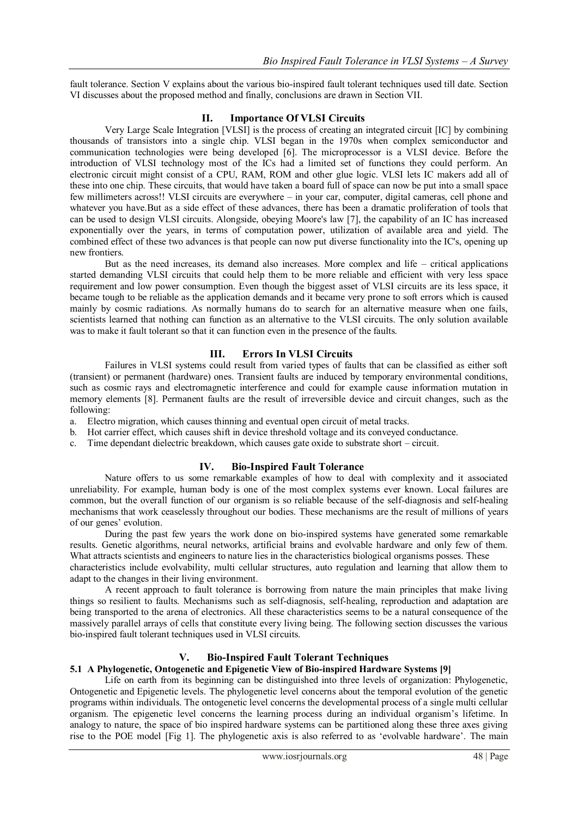fault tolerance. Section V explains about the various bio-inspired fault tolerant techniques used till date. Section VI discusses about the proposed method and finally, conclusions are drawn in Section VII.

## **II. Importance Of VLSI Circuits**

Very Large Scale Integration [VLSI] is the process of creating an integrated circuit [IC] by combining thousands of transistors into a single chip. VLSI began in the 1970s when complex semiconductor and communication technologies were being developed [6]. The microprocessor is a VLSI device. Before the introduction of VLSI technology most of the ICs had a limited set of functions they could perform. An electronic circuit might consist of a CPU, RAM, ROM and other glue logic. VLSI lets IC makers add all of these into one chip. These circuits, that would have taken a board full of space can now be put into a small space few millimeters across!! VLSI circuits are everywhere – in your car, computer, digital cameras, cell phone and whatever you have. But as a side effect of these advances, there has been a dramatic proliferation of tools that can be used to design VLSI circuits. Alongside, obeying Moore's law [7], the capability of an IC has increased exponentially over the years, in terms of computation power, utilization of available area and yield. The combined effect of these two advances is that people can now put diverse functionality into the IC's, opening up new frontiers.

But as the need increases, its demand also increases. More complex and life – critical applications started demanding VLSI circuits that could help them to be more reliable and efficient with very less space requirement and low power consumption. Even though the biggest asset of VLSI circuits are its less space, it became tough to be reliable as the application demands and it became very prone to soft errors which is caused mainly by cosmic radiations. As normally humans do to search for an alternative measure when one fails, scientists learned that nothing can function as an alternative to the VLSI circuits. The only solution available was to make it fault tolerant so that it can function even in the presence of the faults.

# **III. Errors In VLSI Circuits**

Failures in VLSI systems could result from varied types of faults that can be classified as either soft (transient) or permanent (hardware) ones. Transient faults are induced by temporary environmental conditions, such as cosmic rays and electromagnetic interference and could for example cause information mutation in memory elements [8]. Permanent faults are the result of irreversible device and circuit changes, such as the following:

- a. Electro migration, which causes thinning and eventual open circuit of metal tracks.
- b. Hot carrier effect, which causes shift in device threshold voltage and its conveyed conductance.
- c. Time dependant dielectric breakdown, which causes gate oxide to substrate short circuit.

# **IV. Bio-Inspired Fault Tolerance**

Nature offers to us some remarkable examples of how to deal with complexity and it associated unreliability. For example, human body is one of the most complex systems ever known. Local failures are common, but the overall function of our organism is so reliable because of the self-diagnosis and self-healing mechanisms that work ceaselessly throughout our bodies. These mechanisms are the result of millions of years of our genes" evolution.

During the past few years the work done on bio-inspired systems have generated some remarkable results. Genetic algorithms, neural networks, artificial brains and evolvable hardware and only few of them. What attracts scientists and engineers to nature lies in the characteristics biological organisms posses. These characteristics include evolvability, multi cellular structures, auto regulation and learning that allow them to adapt to the changes in their living environment.

A recent approach to fault tolerance is borrowing from nature the main principles that make living things so resilient to faults. Mechanisms such as self-diagnosis, self-healing, reproduction and adaptation are being transported to the arena of electronics. All these characteristics seems to be a natural consequence of the massively parallel arrays of cells that constitute every living being. The following section discusses the various bio-inspired fault tolerant techniques used in VLSI circuits.

# **V. Bio-Inspired Fault Tolerant Techniques**

# **5.1 A Phylogenetic, Ontogenetic and Epigenetic View of Bio-inspired Hardware Systems [9]**

Life on earth from its beginning can be distinguished into three levels of organization: Phylogenetic, Ontogenetic and Epigenetic levels. The phylogenetic level concerns about the temporal evolution of the genetic programs within individuals. The ontogenetic level concerns the developmental process of a single multi cellular organism. The epigenetic level concerns the learning process during an individual organism"s lifetime. In analogy to nature, the space of bio inspired hardware systems can be partitioned along these three axes giving rise to the POE model [Fig 1]. The phylogenetic axis is also referred to as "evolvable hardware". The main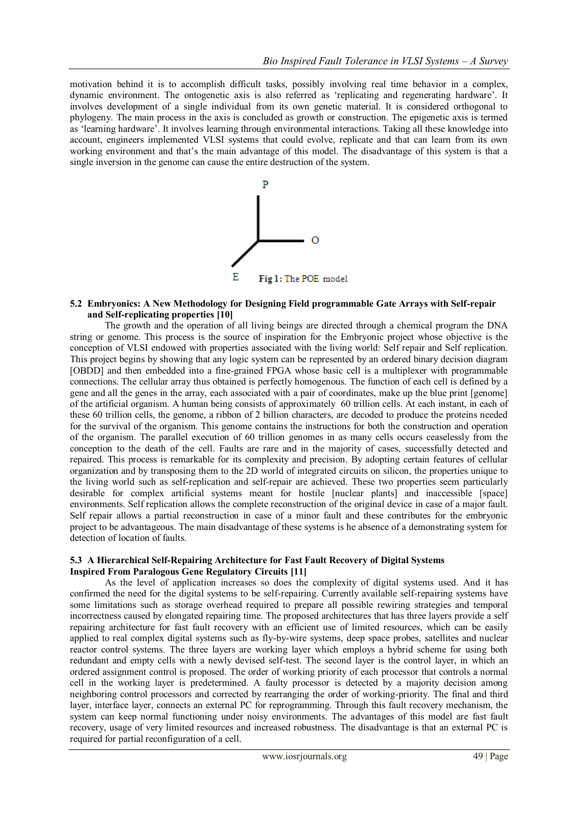motivation behind it is to accomplish difficult tasks, possibly involving real time behavior in a complex, dynamic environment. The ontogenetic axis is also referred as "replicating and regenerating hardware". It involves development of a single individual from its own genetic material. It is considered orthogonal to phylogeny. The main process in the axis is concluded as growth or construction. The epigenetic axis is termed as "learning hardware". It involves learning through environmental interactions. Taking all these knowledge into account, engineers implemented VLSI systems that could evolve, replicate and that can learn from its own working environment and that's the main advantage of this model. The disadvantage of this system is that a single inversion in the genome can cause the entire destruction of the system.



#### **5.2 Embryonics: A New Methodology for Designing Field programmable Gate Arrays with Self-repair and Self-replicating properties [10]**

The growth and the operation of all living beings are directed through a chemical program the DNA string or genome. This process is the source of inspiration for the Embryonic project whose objective is the conception of VLSI endowed with properties associated with the living world: Self repair and Self replication. This project begins by showing that any logic system can be represented by an ordered binary decision diagram [OBDD] and then embedded into a fine-grained FPGA whose basic cell is a multiplexer with programmable connections. The cellular array thus obtained is perfectly homogenous. The function of each cell is defined by a gene and all the genes in the array, each associated with a pair of coordinates, make up the blue print [genome] of the artificial organism. A human being consists of approximately 60 trillion cells. At each instant, in each of these 60 trillion cells, the genome, a ribbon of 2 billion characters, are decoded to produce the proteins needed for the survival of the organism. This genome contains the instructions for both the construction and operation of the organism. The parallel execution of 60 trillion genomes in as many cells occurs ceaselessly from the conception to the death of the cell. Faults are rare and in the majority of cases, successfully detected and repaired. This process is remarkable for its complexity and precision. By adopting certain features of cellular organization and by transposing them to the 2D world of integrated circuits on silicon, the properties unique to the living world such as self-replication and self-repair are achieved. These two properties seem particularly desirable for complex artificial systems meant for hostile [nuclear plants] and inaccessible [space] environments. Self replication allows the complete reconstruction of the original device in case of a major fault. Self repair allows a partial reconstruction in case of a minor fault and these contributes for the embryonic project to be advantageous. The main disadvantage of these systems is he absence of a demonstrating system for detection of location of faults.

#### **5.3 A Hierarchical Self-Repairing Architecture for Fast Fault Recovery of Digital Systems Inspired From Paralogous Gene Regulatory Circuits [11]**

As the level of application increases so does the complexity of digital systems used. And it has confirmed the need for the digital systems to be self-repairing. Currently available self-repairing systems have some limitations such as storage overhead required to prepare all possible rewiring strategies and temporal incorrectness caused by elongated repairing time. The proposed architectures that has three layers provide a self repairing architecture for fast fault recovery with an efficient use of limited resources, which can be easily applied to real complex digital systems such as fly-by-wire systems, deep space probes, satellites and nuclear reactor control systems. The three layers are working layer which employs a hybrid scheme for using both redundant and empty cells with a newly devised self-test. The second layer is the control layer, in which an ordered assignment control is proposed. The order of working priority of each processor that controls a normal cell in the working layer is predetermined. A faulty processor is detected by a majority decision among neighboring control processors and corrected by rearranging the order of working-priority. The final and third layer, interface layer, connects an external PC for reprogramming. Through this fault recovery mechanism, the system can keep normal functioning under noisy environments. The advantages of this model are fast fault recovery, usage of very limited resources and increased robustness. The disadvantage is that an external PC is required for partial reconfiguration of a cell.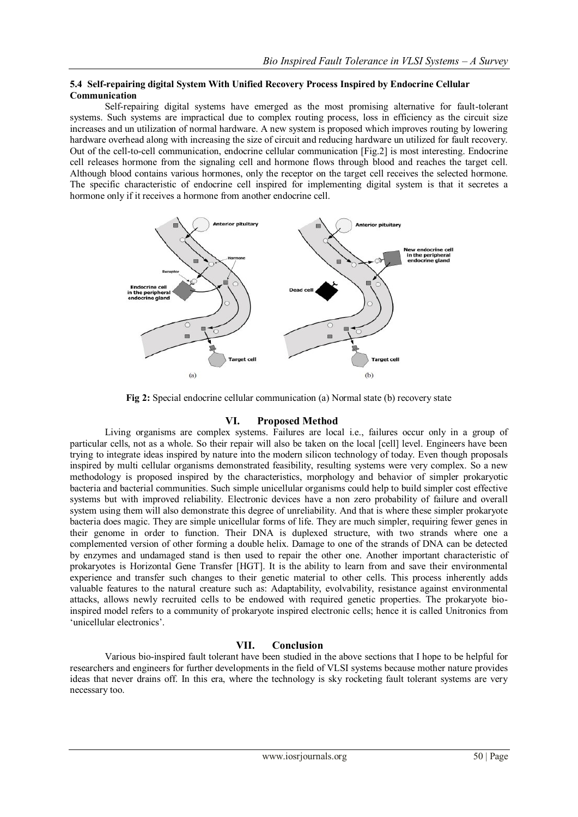## **5.4 Self-repairing digital System With Unified Recovery Process Inspired by Endocrine Cellular Communication**

Self-repairing digital systems have emerged as the most promising alternative for fault-tolerant systems. Such systems are impractical due to complex routing process, loss in efficiency as the circuit size increases and un utilization of normal hardware. A new system is proposed which improves routing by lowering hardware overhead along with increasing the size of circuit and reducing hardware un utilized for fault recovery. Out of the cell-to-cell communication, endocrine cellular communication [Fig.2] is most interesting. Endocrine cell releases hormone from the signaling cell and hormone flows through blood and reaches the target cell. Although blood contains various hormones, only the receptor on the target cell receives the selected hormone. The specific characteristic of endocrine cell inspired for implementing digital system is that it secretes a hormone only if it receives a hormone from another endocrine cell.



**Fig 2:** Special endocrine cellular communication (a) Normal state (b) recovery state

# **VI. Proposed Method**

Living organisms are complex systems. Failures are local i.e., failures occur only in a group of particular cells, not as a whole. So their repair will also be taken on the local [cell] level. Engineers have been trying to integrate ideas inspired by nature into the modern silicon technology of today. Even though proposals inspired by multi cellular organisms demonstrated feasibility, resulting systems were very complex. So a new methodology is proposed inspired by the characteristics, morphology and behavior of simpler prokaryotic bacteria and bacterial communities. Such simple unicellular organisms could help to build simpler cost effective systems but with improved reliability. Electronic devices have a non zero probability of failure and overall system using them will also demonstrate this degree of unreliability. And that is where these simpler prokaryote bacteria does magic. They are simple unicellular forms of life. They are much simpler, requiring fewer genes in their genome in order to function. Their DNA is duplexed structure, with two strands where one a complemented version of other forming a double helix. Damage to one of the strands of DNA can be detected by enzymes and undamaged stand is then used to repair the other one. Another important characteristic of prokaryotes is Horizontal Gene Transfer [HGT]. It is the ability to learn from and save their environmental experience and transfer such changes to their genetic material to other cells. This process inherently adds valuable features to the natural creature such as: Adaptability, evolvability, resistance against environmental attacks, allows newly recruited cells to be endowed with required genetic properties. The prokaryote bioinspired model refers to a community of prokaryote inspired electronic cells; hence it is called Unitronics from 'unicellular electronics'.

# **VII. Conclusion**

Various bio-inspired fault tolerant have been studied in the above sections that I hope to be helpful for researchers and engineers for further developments in the field of VLSI systems because mother nature provides ideas that never drains off. In this era, where the technology is sky rocketing fault tolerant systems are very necessary too.